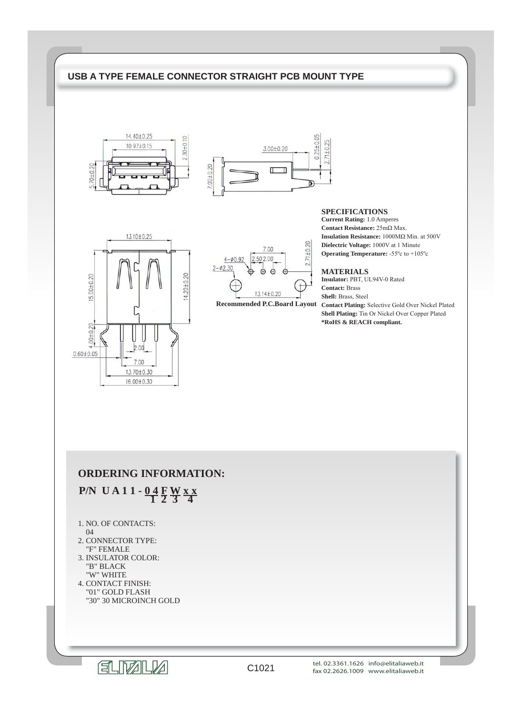## **USB A TYPE FEMALE CONNECTOR STRAIGHT PCB MOUNT TYPE**





# 13.10±0.25 15.00±0.20  $14.20 + 0.20$  $00 + 0.20$  $0.60 \pm 0.05$ 7.00 13.70±0.30 16.00±0.30



**Recommended P.C.Board Layout**

#### **SPECIFICATIONS**

**Current Rating:** 1.0 Amperes **Contact Resistance:** 25mΩ Max. **Insulation Resistance:** 1000MΩ Min. at 500V **Dielectric Voltage:** 1000V at 1 Minute **Operating Temperature:** -55ºc to +105ºc

#### **MATERIALS**

**Insulator:** PBT, UL94V-0 Rated **Contact:** Brass **Shell:** Brass, Steel **Contact Plating:** Selective Gold Over Nickel Plated **Shell Plating:** Tin Or Nickel Over Copper Plated **\*RoHS & REACH compliant.**

## **ORDERING INFORMATION:**

# **P/N UA11 - 04 FW x x**

- 1. NO. OF CONTACTS:
- 04
- 2. CONNECTOR TYPE: "F" FEMALE
- 3. INSULATOR COLOR: "B" BLACK "W" WHITE
- 4. CONTACT FINISH: "01" GOLD FLASH "30" 30 MICROINCH GOLD

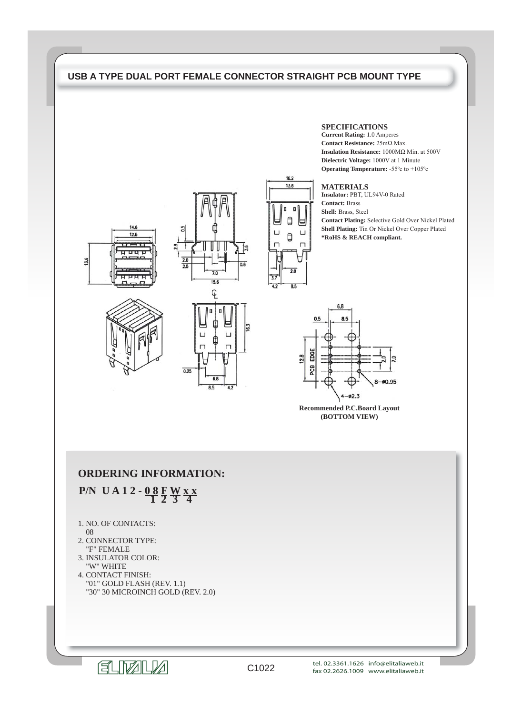## **USB A TYPE DUAL PORT FEMALE CONNECTOR STRAIGHT PCB MOUNT TYPE**







6.8

 $85$ 

 $0.25$ 



#### **SPECIFICATIONS**

**Current Rating:** 1.0 Amperes **Contact Resistance:** 25mΩ Max. **Insulation Resistance:** 1000MΩ Min. at 500V **Dielectric Voltage:** 1000V at 1 Minute **Operating Temperature:** -55ºc to +105ºc

#### **MATERIALS**

**Insulator:** PBT, UL94V-0 Rated **Contact:** Brass **Shell:** Brass, Steel **Contact Plating:** Selective Gold Over Nickel Plated **Shell Plating:** Tin Or Nickel Over Copper Plated **\*RoHS & REACH compliant.**



**Recommended P.C.Board Layout (BOTTOM VIEW)**

## **ORDERING INFORMATION:**

 **P/N UA12 - 08 FWxx** 

- 1. NO. OF CONTACTS:
- 08
- 2. CONNECTOR TYPE: "F" FEMALE
- 3. INSULATOR COLOR: "W" WHITE
- 4. CONTACT FINISH: "01" GOLD FLASH (REV. 1.1) "30" 30 MICROINCH GOLD (REV. 2.0)

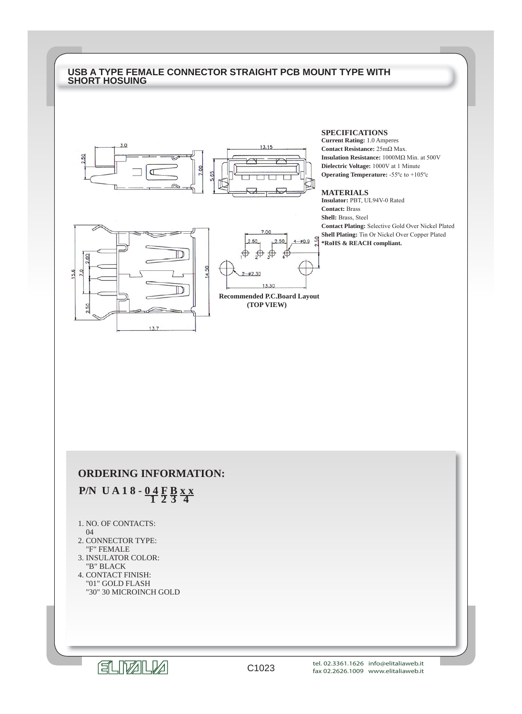### **USB A TYPE FEMALE CONNECTOR STRAIGHT PCB MOUNT TYPE WITH SHORT HOSUING**



#### **SPECIFICATIONS**

**Current Rating:** 1.0 Amperes **Contact Resistance:** 25mΩ Max. **Insulation Resistance:** 1000MΩ Min. at 500V **Dielectric Voltage:** 1000V at 1 Minute **Operating Temperature:** -55ºc to +105ºc

#### **MATERIALS**

**Insulator:** PBT, UL94V-0 Rated **Contact:** Brass **Shell:** Brass, Steel **Contact Plating:** Selective Gold Over Nickel Plated **Shell Plating:** Tin Or Nickel Over Copper Plated **\*RoHS & REACH compliant.**





**Recommended P.C.Board Layout (TOP VIEW)**

## **ORDERING INFORMATION:**

# **P/N UA18 - 04 F B x x**

- 1. NO. OF CONTACTS:
- 04
- 2. CONNECTOR TYPE: "F" FEMALE
- 3. INSULATOR COLOR: "B" BLACK
- 4. CONTACT FINISH: "01" GOLD FLASH "30" 30 MICROINCH GOLD

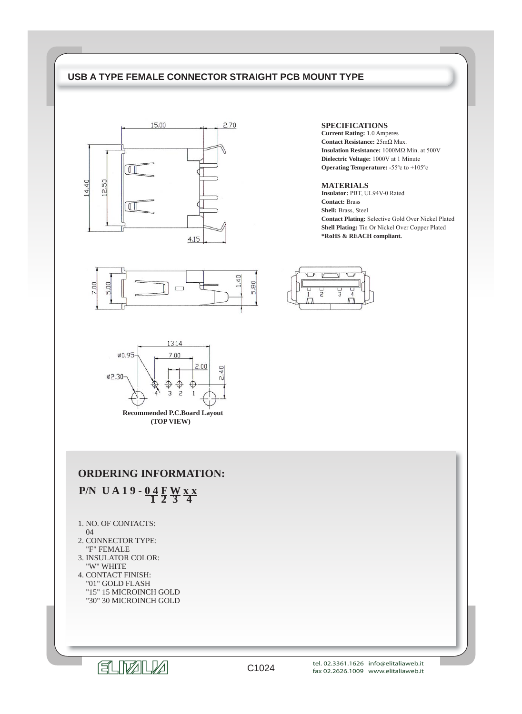## **USB A TYPE FEMALE CONNECTOR STRAIGHT PCB MOUNT TYPE**





#### **SPECIFICATIONS**

**Current Rating:** 1.0 Amperes **Contact Resistance:** 25mΩ Max. **Insulation Resistance:** 1000MΩ Min. at 500V **Dielectric Voltage:** 1000V at 1 Minute **Operating Temperature:** -55ºc to +105ºc

#### **MATERIALS**

**Insulator:** PBT, UL94V-0 Rated **Contact:** Brass **Shell:** Brass, Steel **Contact Plating:** Selective Gold Over Nickel Plated **Shell Plating:** Tin Or Nickel Over Copper Plated **\*RoHS & REACH compliant.**





**Recommended P.C.Board Layout (TOP VIEW)**

## **ORDERING INFORMATION:**

 **P/N UA19-04 FWxx** 

- 1. NO. OF CONTACTS:
- 04
- 2. CONNECTOR TYPE: "F" FEMALE
- 3. INSULATOR COLOR: "W" WHITE
- 4. CONTACT FINISH: "01" GOLD FLASH "15" 15 MICROINCH GOLD "30" 30 MICROINCH GOLD

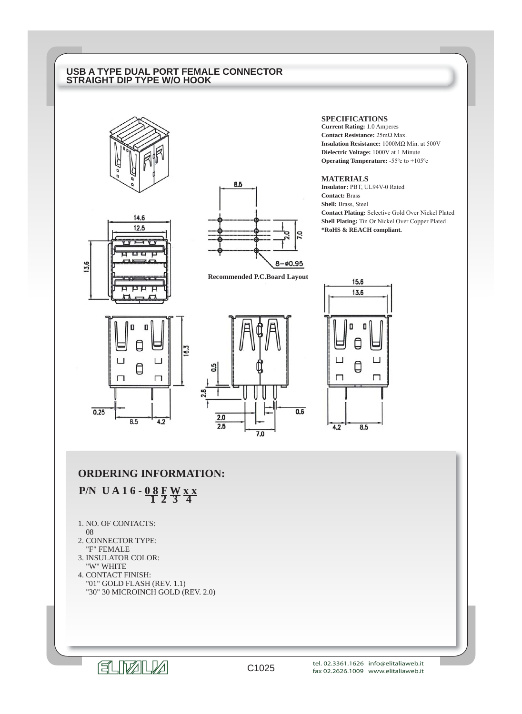## **USB A TYPE DUAL PORT FEMALE CONNECTOR STRAIGHT DIP TYPE W/O HOOK**







**Recommended P.C.Board Layout**

### **SPECIFICATIONS**

**Current Rating:** 1.0 Amperes **Contact Resistance:** 25mΩ Max. **Insulation Resistance:** 1000MΩ Min. at 500V **Dielectric Voltage:** 1000V at 1 Minute **Operating Temperature:** -55ºc to +105ºc

#### **MATERIALS**

**Insulator:** PBT, UL94V-0 Rated **Contact:** Brass **Shell:** Brass, Steel **Contact Plating:** Selective Gold Over Nickel Plated **Shell Plating:** Tin Or Nickel Over Copper Plated **\*RoHS & REACH compliant.**







## **ORDERING INFORMATION:**

 **P/N UA16 - 08 FW x x** 

- 1. NO. OF CONTACTS:
- 08
- 2. CONNECTOR TYPE: "F" FEMALE
- 3. INSULATOR COLOR: "W" WHITE
- 4. CONTACT FINISH: "01" GOLD FLASH (REV. 1.1) "30" 30 MICROINCH GOLD (REV. 2.0)

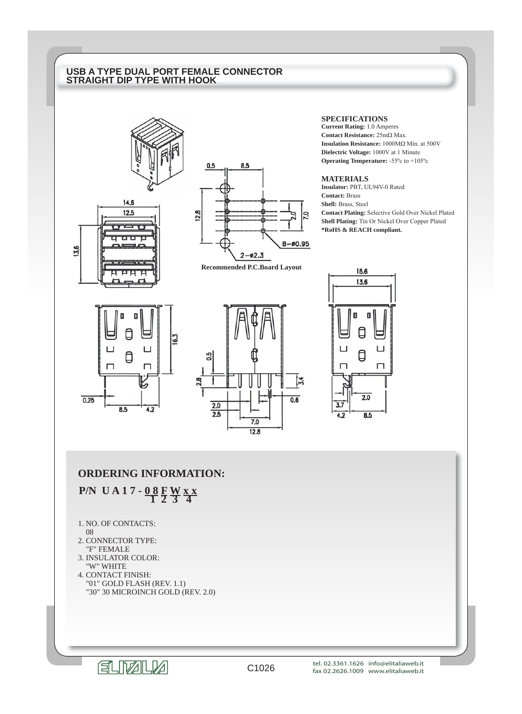## **USB A TYPE DUAL PORT FEMALE CONNECTOR STRAIGHT DIP TYPE WITH HOOK**





**Recommended P.C.Board Layout**

#### **SPECIFICATIONS**

**Current Rating:** 1.0 Amperes **Contact Resistance:** 25mΩ Max. **Insulation Resistance:** 1000MΩ Min. at 500V **Dielectric Voltage:** 1000V at 1 Minute **Operating Temperature:** -55ºc to +105ºc

#### **MATERIALS**

**Insulator:** PBT, UL94V-0 Rated **Contact:** Brass **Shell:** Brass, Steel **Contact Plating:** Selective Gold Over Nickel Plated **Shell Plating:** Tin Or Nickel Over Copper Plated **\*RoHS & REACH compliant.**







## **ORDERING INFORMATION:**

 **P/N UA17-08 FWxx** 

- 1. NO. OF CONTACTS:
- 08

13.6

- 2. CONNECTOR TYPE: "F" FEMALE
- 3. INSULATOR COLOR: "W" WHITE
- 4. CONTACT FINISH: "01" GOLD FLASH (REV. 1.1) "30" 30 MICROINCH GOLD (REV. 2.0)

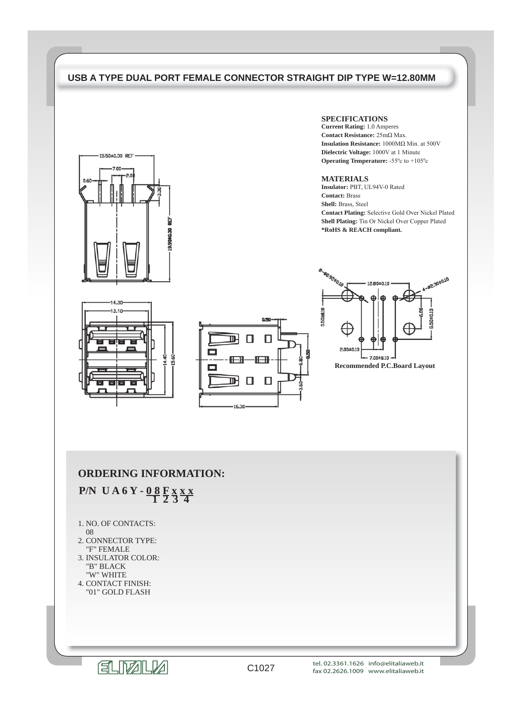## **USB A TYPE DUAL PORT FEMALE CONNECTOR STRAIGHT DIP TYPE W=12.80MM**

ᅖ

⊪

16.30

 $\Box$ 

▭

15.60

П



14.30 13.10

#### **SPECIFICATIONS**

**Current Rating:** 1.0 Amperes **Contact Resistance:** 25mΩ Max. **Insulation Resistance:** 1000MΩ Min. at 500V **Dielectric Voltage:** 1000V at 1 Minute **Operating Temperature:** -55ºc to +105ºc

#### **MATERIALS**

**Insulator:** PBT, UL94V-0 Rated **Contact:** Brass **Shell:** Brass, Steel **Contact Plating:** Selective Gold Over Nickel Plated **Shell Plating:** Tin Or Nickel Over Copper Plated **\*RoHS & REACH compliant.**

-@2.30±0.10

8.50±0.10



## **ORDERING INFORMATION:**

 **P/N UA6Y - 08 F x x x** 

- 1. NO. OF CONTACTS:
- 08
- 2. CONNECTOR TYPE: "F" FEMALE
- 3. INSULATOR COLOR: "B" BLACK "W" WHITE
- 4. CONTACT FINISH: "01" GOLD FLASH